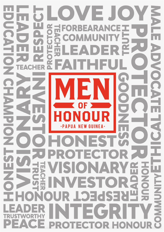### $\bigcap$  $\bigcirc$ VEJ EA Ę IMU C  $\Box$   $\Delta$ F 핏  $\mathbf{R}$ E HER E E R **GUINEA** OTECTO  $\Delta$ Ţ EST 靑  $\overline{\mathbf{S}}$ **RESPECT** P) 屶  $\hat{\blacklozenge}$ Е. Ε  $\mathbf C$ ECTO P R HON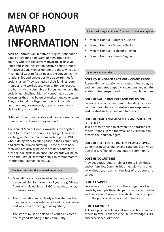# **MEN OF HONOUR AWARD INFORMATION**

**Men of Honour** is an initiative of Digicel Foundation aimed at creating a network of men around the country who can collectively advocate against violence and shine the light on positive behavior for affirmative action. Men of Honour are those who act in meaningful ways to foster peace, encourage healthy relationships and create positive opportunities for social change. They strengthen their families, communities, and workplaces. Men of Honour respect the humanity of vulnerable children, women and the socially marginalized. Men of Honour may be well known, or they may be quiet workers and volunteers. They are found in villages and towns, in families, communities, government, the private sector and civil society organizations.

"Men of Honour build stable and happy homes, communities and in turn a strong nation."

The Annual Men of Honour Awards is the flagship event for the Men of Honour Campaign. One Award will be given to one man from each region in PNG who is doing work to build peace in their community and alleviate human suffering. These are ordinary men who are displaying extra ordinary courage to turn the tide against violence. The Awards will be given on the 10th of December 2021 to commemorate International Human Rights Day!

#### **The key criteria for the nominations include:**

- 1. Men who are actively involved in the area of peace building for more than 3 years (e.g. Village Court official, leading an NGO, a teacher, pastor, business man etc.);
- 2. The Nomination must clearly articulate how the man has taken concrete tasks to address violence and why he is deserving of recognition;
- 3. The stories must be able to be verified by someone of good standing in the community;

#### **Awards will be given to men from each of the four regions:**

- Men of Honour Southern Region
- Men of Honour Momase Region
- Men of Honour Highlands Region
- Men of Honour Islands Region

#### **Questions to Consider**

#### **DOES YOUR NOMINEE ACT WITH COMPASSION?**

Exemplifies compassion to an extraordinary degree and demonstrates empathy and understanding. Generates mutual respect and trust through his actions

#### **DOES HE VALUE DIVERSITY AND INCLUSION?**

Demonstrates a commitment to building inclusive communities where all mem**bers are empowered and treated with respect and fairness**

#### **DOES HE CHALLENGE ADVERSITY AND SOCIAL IN-EQUALITY?**

Takes positive action to alleviate the hardships of others. Stands up for the weak and vulnerable to protect their human rights.

#### **DOES HE HELP FOSTER HOPE IN PEOPLES' LIVES?**

Generates positive energy and catalyzes positive action that is reflected throughout the community.

#### **DOES HE VOLUNTEER?**

Provides extraordinary help or care to individuals and/or families. Commits his time, talent and energy, without pay, to enrich the lives of the people he serves

#### **IS HE A LEADER?**

Serves as an inspiration for others to get involved. Leads by example through performance, motivation and dedication Possesses the ability to rally support from the public and has a social influence

#### **IS HE A MENTOR?**

Acts as a positive role model whose actions motivate others to excel. Enhances the life, knowledge, skills and experiences of others.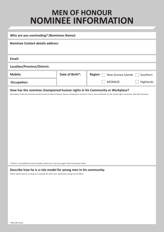# **MEN OF HONOUR NOMINEE INFORMATION**

| Who are you nominating? (Nominees Name):                                                                                                                                                                                                                  |                 |                                     |           |
|-----------------------------------------------------------------------------------------------------------------------------------------------------------------------------------------------------------------------------------------------------------|-----------------|-------------------------------------|-----------|
| <b>Nominee Contact details address:</b>                                                                                                                                                                                                                   |                 |                                     |           |
| Email:                                                                                                                                                                                                                                                    |                 |                                     |           |
| Location/Province/District:                                                                                                                                                                                                                               |                 |                                     |           |
| <b>Mobile:</b>                                                                                                                                                                                                                                            | Date of Birth*: | <b>Region</b><br>New Guinea Islands | Southern  |
| Occupation:                                                                                                                                                                                                                                               |                 | <b>MOMASE</b>                       | Highlands |
| How has the nominee championed human rights in his Community or Workplace?<br>Description of why the nominee should receive the Men of Honour Award, including the nominee's role in, and contribution to, the human rights movement. Max 500 characters. |                 |                                     |           |

#### **Describe how he is a role model for young men in his community.**

Please explain how he is acting as an example for other men, particularly young men to follow.